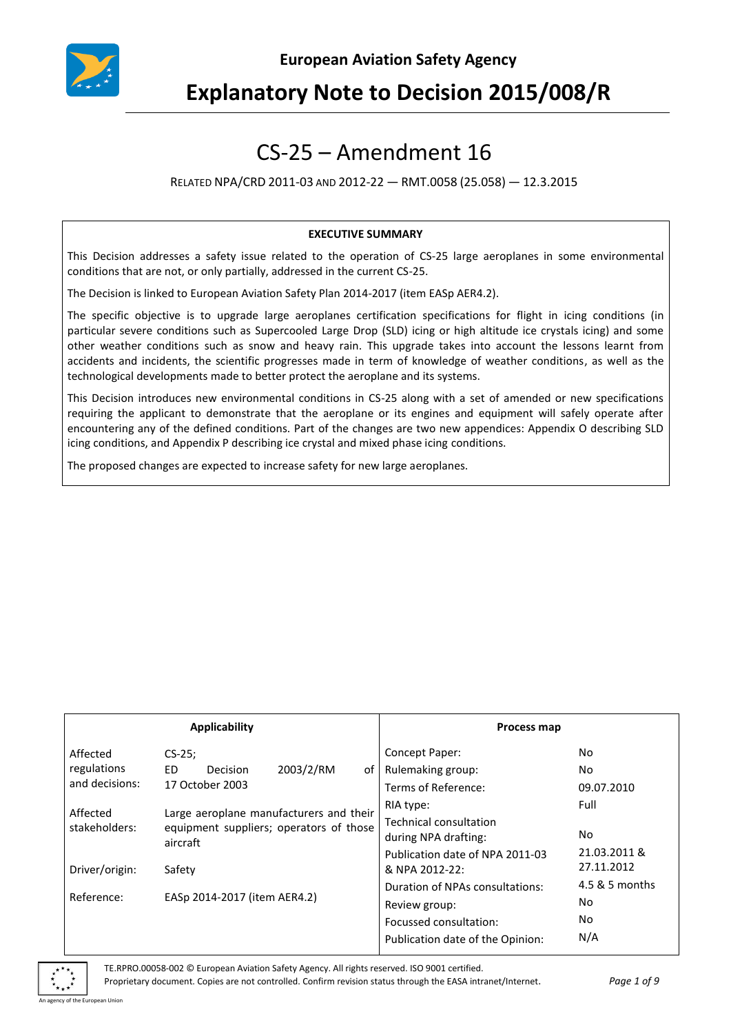

# **Explanatory Note to Decision 2015/008/R**

# CS-25 – Amendment 16

RELATED NPA/CRD 2011-03 AND 2012-22 — RMT.0058 (25.058) — 12.3.2015

#### **EXECUTIVE SUMMARY**

This Decision addresses a safety issue related to the operation of CS-25 large aeroplanes in some environmental conditions that are not, or only partially, addressed in the current CS-25.

The Decision is linked to European Aviation Safety Plan 2014-2017 (item EASp AER4.2).

The specific objective is to upgrade large aeroplanes certification specifications for flight in icing conditions (in particular severe conditions such as Supercooled Large Drop (SLD) icing or high altitude ice crystals icing) and some other weather conditions such as snow and heavy rain. This upgrade takes into account the lessons learnt from accidents and incidents, the scientific progresses made in term of knowledge of weather conditions, as well as the technological developments made to better protect the aeroplane and its systems.

This Decision introduces new environmental conditions in CS-25 along with a set of amended or new specifications requiring the applicant to demonstrate that the aeroplane or its engines and equipment will safely operate after encountering any of the defined conditions. Part of the changes are two new appendices: Appendix O describing SLD icing conditions, and Appendix P describing ice crystal and mixed phase icing conditions.

The proposed changes are expected to increase safety for new large aeroplanes.

| Applicability             |                                                                                                |           | Process map |                                  |                |
|---------------------------|------------------------------------------------------------------------------------------------|-----------|-------------|----------------------------------|----------------|
| Affected                  | $CS-25$ ;                                                                                      |           |             | Concept Paper:                   | No             |
| regulations               | ED.<br>Decision                                                                                | 2003/2/RM | οf          | Rulemaking group:                | No.            |
| and decisions:            | 17 October 2003                                                                                |           |             | Terms of Reference:              | 09.07.2010     |
| Affected<br>stakeholders: | Large aeroplane manufacturers and their<br>equipment suppliers; operators of those<br>aircraft |           |             | RIA type:                        | Full           |
|                           |                                                                                                |           |             | <b>Technical consultation</b>    |                |
|                           |                                                                                                |           |             | during NPA drafting:             | No.            |
|                           |                                                                                                |           |             | Publication date of NPA 2011-03  | 21.03.2011 &   |
| Driver/origin:            | Safety                                                                                         |           |             | & NPA 2012-22:                   | 27.11.2012     |
| Reference:                |                                                                                                |           |             | Duration of NPAs consultations:  | 4.5 & 5 months |
|                           | EASp 2014-2017 (item AER4.2)                                                                   |           |             | Review group:                    | No             |
|                           |                                                                                                |           |             | Focussed consultation:           | No.            |
|                           |                                                                                                |           |             | Publication date of the Opinion: | N/A            |

of the European Union

TE.RPRO.00058-002 © European Aviation Safety Agency. All rights reserved. ISO 9001 certified.

Proprietary document. Copies are not controlled. Confirm revision status through the EASA intranet/Internet. *Page 1 of 9*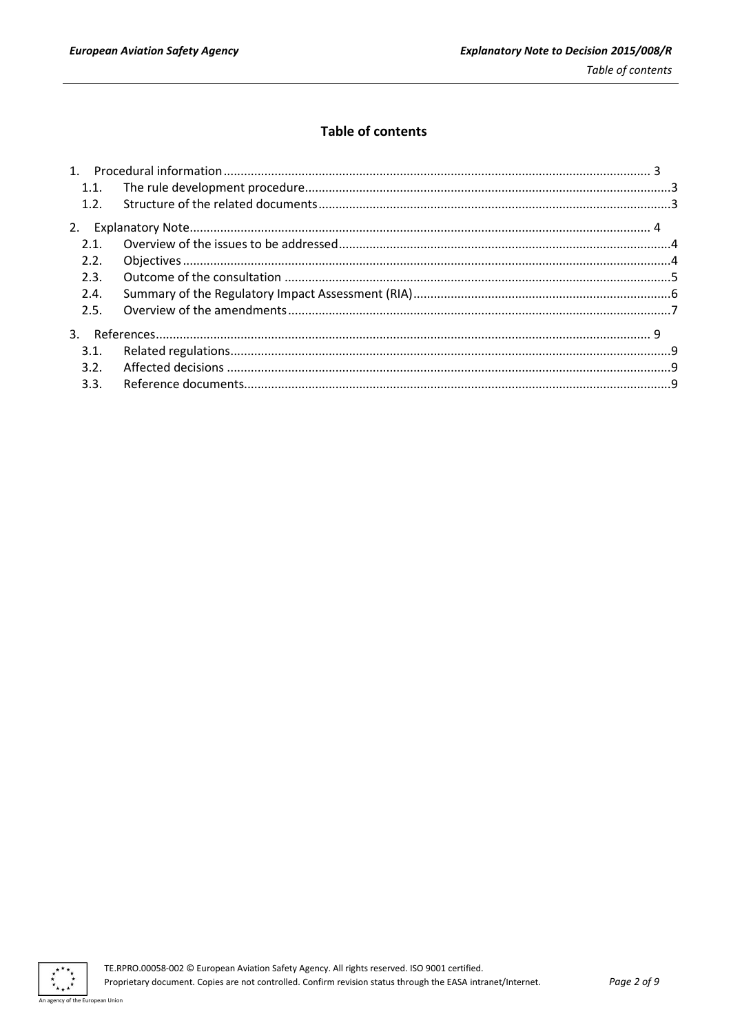## **Table of contents**

| 1.1. |  |
|------|--|
| 1.2. |  |
|      |  |
| 2.1. |  |
| 2.2. |  |
| 2.3. |  |
| 2.4. |  |
| 2.5. |  |
|      |  |
| 3.1. |  |
| 3.2. |  |
|      |  |
|      |  |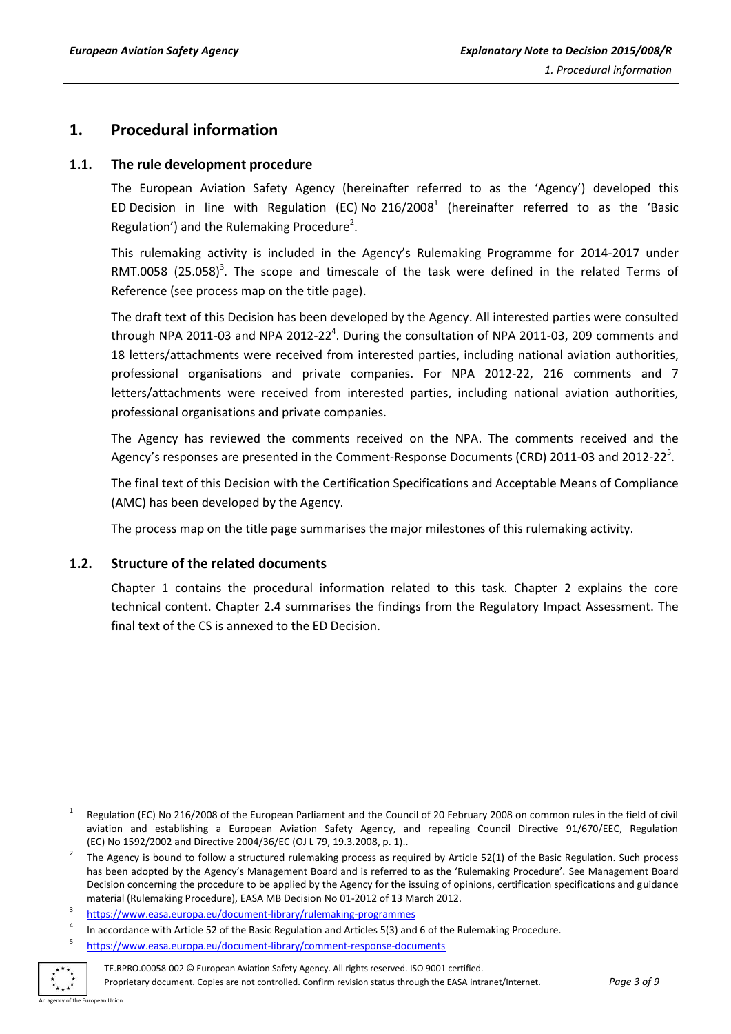## <span id="page-2-0"></span>**1. Procedural information**

#### <span id="page-2-1"></span>**1.1. The rule development procedure**

The European Aviation Safety Agency (hereinafter referred to as the 'Agency') developed this ED Decision in line with Regulation (EC) No  $216/2008<sup>1</sup>$  (hereinafter referred to as the 'Basic Regulation') and the Rulemaking Procedure<sup>2</sup>.

This rulemaking activity is included in the Agency's Rulemaking Programme for 2014-2017 under RMT.0058  $(25.058)^3$ . The scope and timescale of the task were defined in the related Terms of Reference (see process map on the title page).

The draft text of this Decision has been developed by the Agency. All interested parties were consulted through NPA 2011-03 and NPA 2012-22<sup>4</sup>. During the consultation of NPA 2011-03, 209 comments and 18 letters/attachments were received from interested parties, including national aviation authorities, professional organisations and private companies. For NPA 2012-22, 216 comments and 7 letters/attachments were received from interested parties, including national aviation authorities, professional organisations and private companies.

The Agency has reviewed the comments received on the NPA. The comments received and the Agency's responses are presented in the Comment-Response Documents (CRD) 2011-03 and 2012-22<sup>5</sup>.

The final text of this Decision with the Certification Specifications and Acceptable Means of Compliance (AMC) has been developed by the Agency.

The process map on the title page summarises the major milestones of this rulemaking activity.

### <span id="page-2-2"></span>**1.2. Structure of the related documents**

Chapter 1 contains the procedural information related to this task. Chapter 2 explains the core technical content. Chapter 2.4 summarises the findings from the Regulatory Impact Assessment. The final text of the CS is annexed to the ED Decision.

<sup>5</sup> <https://www.easa.europa.eu/document-library/comment-response-documents>



-

TE.RPRO.00058-002 © European Aviation Safety Agency. All rights reserved. ISO 9001 certified. Proprietary document. Copies are not controlled. Confirm revision status through the EASA intranet/Internet. *Page 3 of 9*

<sup>1</sup> Regulation (EC) No 216/2008 of the European Parliament and the Council of 20 February 2008 on common rules in the field of civil aviation and establishing a European Aviation Safety Agency, and repealing Council Directive 91/670/EEC, Regulation (EC) No 1592/2002 and Directive 2004/36/EC (OJ L 79, 19.3.2008, p. 1)..

<sup>2</sup> The Agency is bound to follow a structured rulemaking process as required by Article 52(1) of the Basic Regulation. Such process has been adopted by the Agency's Management Board and is referred to as the 'Rulemaking Procedure'. See Management Board Decision concerning the procedure to be applied by the Agency for the issuing of opinions, certification specifications and guidance material (Rulemaking Procedure), EASA MB Decision No 01-2012 of 13 March 2012.

<sup>3</sup> <https://www.easa.europa.eu/document-library/rulemaking-programmes>

<sup>4</sup> In accordance with Article 52 of the Basic Regulation and Articles 5(3) and 6 of the Rulemaking Procedure.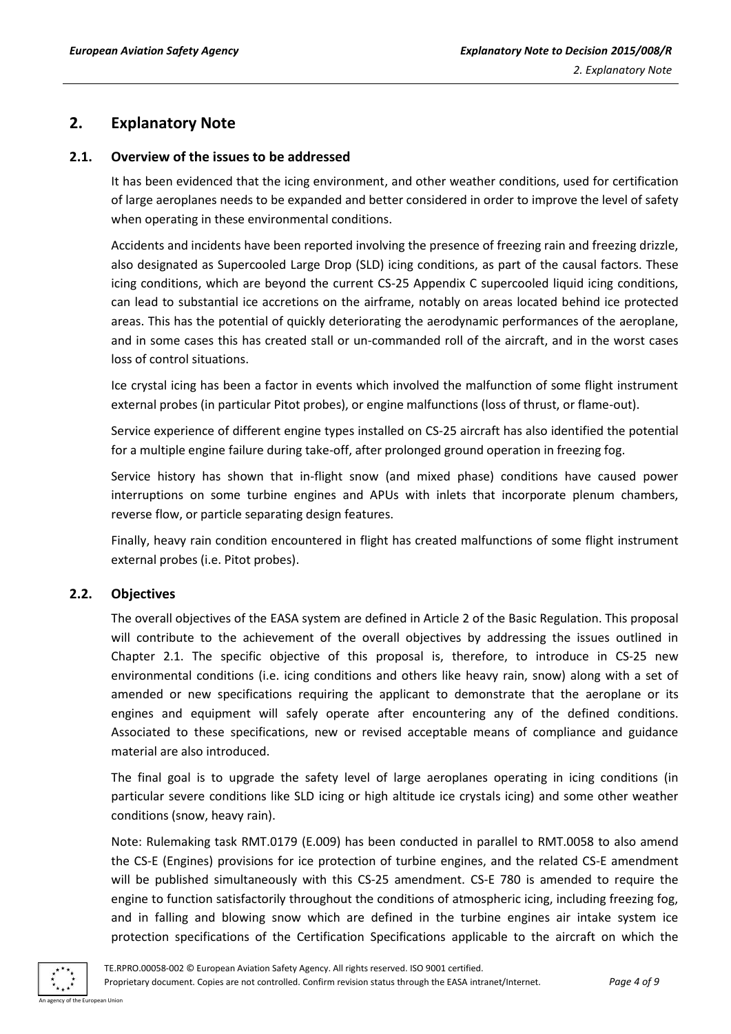# <span id="page-3-0"></span>**2. Explanatory Note**

## <span id="page-3-1"></span>**2.1. Overview of the issues to be addressed**

It has been evidenced that the icing environment, and other weather conditions, used for certification of large aeroplanes needs to be expanded and better considered in order to improve the level of safety when operating in these environmental conditions.

Accidents and incidents have been reported involving the presence of freezing rain and freezing drizzle, also designated as Supercooled Large Drop (SLD) icing conditions, as part of the causal factors. These icing conditions, which are beyond the current CS-25 Appendix C supercooled liquid icing conditions, can lead to substantial ice accretions on the airframe, notably on areas located behind ice protected areas. This has the potential of quickly deteriorating the aerodynamic performances of the aeroplane, and in some cases this has created stall or un-commanded roll of the aircraft, and in the worst cases loss of control situations.

Ice crystal icing has been a factor in events which involved the malfunction of some flight instrument external probes (in particular Pitot probes), or engine malfunctions (loss of thrust, or flame-out).

Service experience of different engine types installed on CS-25 aircraft has also identified the potential for a multiple engine failure during take-off, after prolonged ground operation in freezing fog.

Service history has shown that in-flight snow (and mixed phase) conditions have caused power interruptions on some turbine engines and APUs with inlets that incorporate plenum chambers, reverse flow, or particle separating design features.

Finally, heavy rain condition encountered in flight has created malfunctions of some flight instrument external probes (i.e. Pitot probes).

## <span id="page-3-2"></span>**2.2. Objectives**

The overall objectives of the EASA system are defined in Article 2 of the Basic Regulation. This proposal will contribute to the achievement of the overall objectives by addressing the issues outlined in Chapter 2.1. The specific objective of this proposal is, therefore, to introduce in CS-25 new environmental conditions (i.e. icing conditions and others like heavy rain, snow) along with a set of amended or new specifications requiring the applicant to demonstrate that the aeroplane or its engines and equipment will safely operate after encountering any of the defined conditions. Associated to these specifications, new or revised acceptable means of compliance and guidance material are also introduced.

The final goal is to upgrade the safety level of large aeroplanes operating in icing conditions (in particular severe conditions like SLD icing or high altitude ice crystals icing) and some other weather conditions (snow, heavy rain).

Note: Rulemaking task RMT.0179 (E.009) has been conducted in parallel to RMT.0058 to also amend the CS-E (Engines) provisions for ice protection of turbine engines, and the related CS-E amendment will be published simultaneously with this CS-25 amendment. CS-E 780 is amended to require the engine to function satisfactorily throughout the conditions of atmospheric icing, including freezing fog, and in falling and blowing snow which are defined in the turbine engines air intake system ice protection specifications of the Certification Specifications applicable to the aircraft on which the

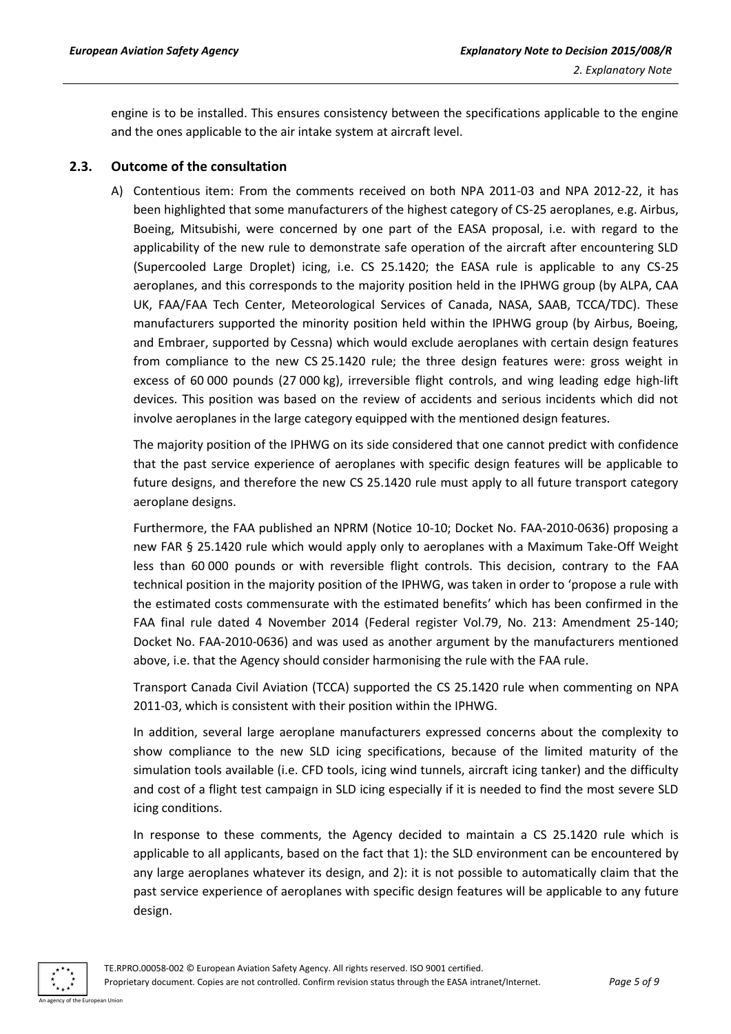engine is to be installed. This ensures consistency between the specifications applicable to the engine and the ones applicable to the air intake system at aircraft level.

### <span id="page-4-0"></span>**2.3. Outcome of the consultation**

A) Contentious item: From the comments received on both NPA 2011-03 and NPA 2012-22, it has been highlighted that some manufacturers of the highest category of CS-25 aeroplanes, e.g. Airbus, Boeing, Mitsubishi, were concerned by one part of the EASA proposal, i.e. with regard to the applicability of the new rule to demonstrate safe operation of the aircraft after encountering SLD (Supercooled Large Droplet) icing, i.e. CS 25.1420; the EASA rule is applicable to any CS-25 aeroplanes, and this corresponds to the majority position held in the IPHWG group (by ALPA, CAA UK, FAA/FAA Tech Center, Meteorological Services of Canada, NASA, SAAB, TCCA/TDC). These manufacturers supported the minority position held within the IPHWG group (by Airbus, Boeing, and Embraer, supported by Cessna) which would exclude aeroplanes with certain design features from compliance to the new CS 25.1420 rule; the three design features were: gross weight in excess of 60 000 pounds (27 000 kg), irreversible flight controls, and wing leading edge high-lift devices. This position was based on the review of accidents and serious incidents which did not involve aeroplanes in the large category equipped with the mentioned design features.

The majority position of the IPHWG on its side considered that one cannot predict with confidence that the past service experience of aeroplanes with specific design features will be applicable to future designs, and therefore the new CS 25.1420 rule must apply to all future transport category aeroplane designs.

Furthermore, the FAA published an NPRM (Notice 10-10; Docket No. FAA-2010-0636) proposing a new FAR § 25.1420 rule which would apply only to aeroplanes with a Maximum Take-Off Weight less than 60 000 pounds or with reversible flight controls. This decision, contrary to the FAA technical position in the majority position of the IPHWG, was taken in order to 'propose a rule with the estimated costs commensurate with the estimated benefits' which has been confirmed in the FAA final rule dated 4 November 2014 (Federal register Vol.79, No. 213: Amendment 25-140; Docket No. FAA-2010-0636) and was used as another argument by the manufacturers mentioned above, i.e. that the Agency should consider harmonising the rule with the FAA rule.

Transport Canada Civil Aviation (TCCA) supported the CS 25.1420 rule when commenting on NPA 2011-03, which is consistent with their position within the IPHWG.

In addition, several large aeroplane manufacturers expressed concerns about the complexity to show compliance to the new SLD icing specifications, because of the limited maturity of the simulation tools available (i.e. CFD tools, icing wind tunnels, aircraft icing tanker) and the difficulty and cost of a flight test campaign in SLD icing especially if it is needed to find the most severe SLD icing conditions.

In response to these comments, the Agency decided to maintain a CS 25.1420 rule which is applicable to all applicants, based on the fact that 1): the SLD environment can be encountered by any large aeroplanes whatever its design, and 2): it is not possible to automatically claim that the past service experience of aeroplanes with specific design features will be applicable to any future design.

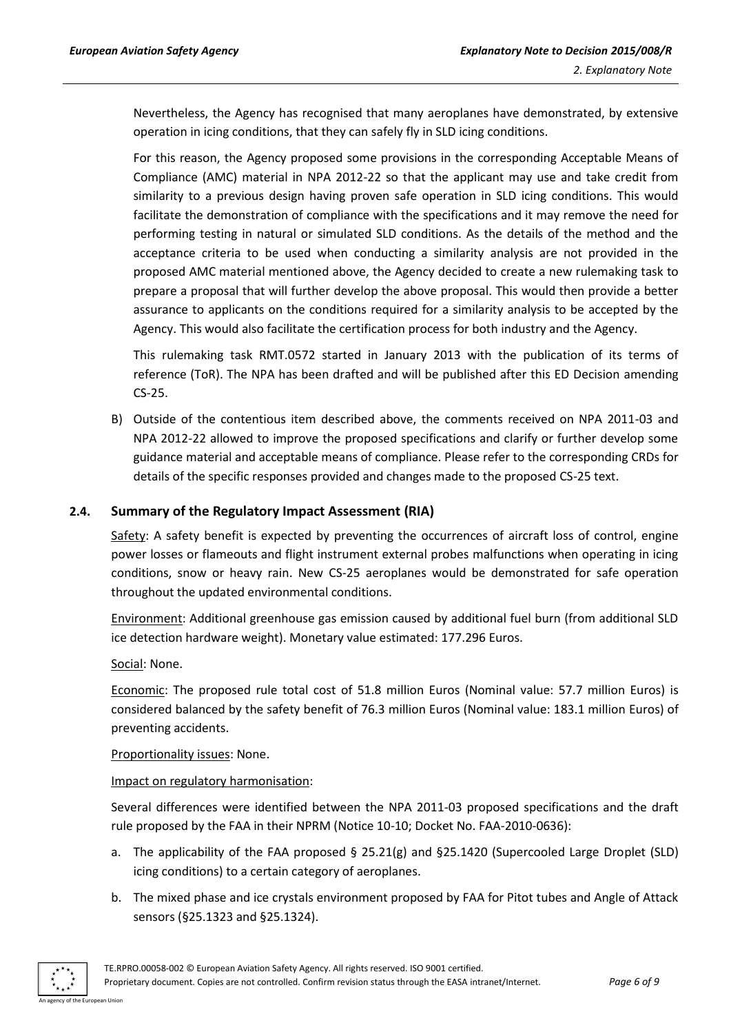Nevertheless, the Agency has recognised that many aeroplanes have demonstrated, by extensive operation in icing conditions, that they can safely fly in SLD icing conditions.

For this reason, the Agency proposed some provisions in the corresponding Acceptable Means of Compliance (AMC) material in NPA 2012-22 so that the applicant may use and take credit from similarity to a previous design having proven safe operation in SLD icing conditions. This would facilitate the demonstration of compliance with the specifications and it may remove the need for performing testing in natural or simulated SLD conditions. As the details of the method and the acceptance criteria to be used when conducting a similarity analysis are not provided in the proposed AMC material mentioned above, the Agency decided to create a new rulemaking task to prepare a proposal that will further develop the above proposal. This would then provide a better assurance to applicants on the conditions required for a similarity analysis to be accepted by the Agency. This would also facilitate the certification process for both industry and the Agency.

This rulemaking task RMT.0572 started in January 2013 with the publication of its terms of reference (ToR). The NPA has been drafted and will be published after this ED Decision amending CS-25.

B) Outside of the contentious item described above, the comments received on NPA 2011-03 and NPA 2012-22 allowed to improve the proposed specifications and clarify or further develop some guidance material and acceptable means of compliance. Please refer to the corresponding CRDs for details of the specific responses provided and changes made to the proposed CS-25 text.

## <span id="page-5-0"></span>**2.4. Summary of the Regulatory Impact Assessment (RIA)**

Safety: A safety benefit is expected by preventing the occurrences of aircraft loss of control, engine power losses or flameouts and flight instrument external probes malfunctions when operating in icing conditions, snow or heavy rain. New CS-25 aeroplanes would be demonstrated for safe operation throughout the updated environmental conditions.

Environment: Additional greenhouse gas emission caused by additional fuel burn (from additional SLD ice detection hardware weight). Monetary value estimated: 177.296 Euros.

Social: None.

Economic: The proposed rule total cost of 51.8 million Euros (Nominal value: 57.7 million Euros) is considered balanced by the safety benefit of 76.3 million Euros (Nominal value: 183.1 million Euros) of preventing accidents.

Proportionality issues: None.

Impact on regulatory harmonisation:

Several differences were identified between the NPA 2011-03 proposed specifications and the draft rule proposed by the FAA in their NPRM (Notice 10-10; Docket No. FAA-2010-0636):

- a. The applicability of the FAA proposed § 25.21(g) and §25.1420 (Supercooled Large Droplet (SLD) icing conditions) to a certain category of aeroplanes.
- b. The mixed phase and ice crystals environment proposed by FAA for Pitot tubes and Angle of Attack sensors (§25.1323 and §25.1324).

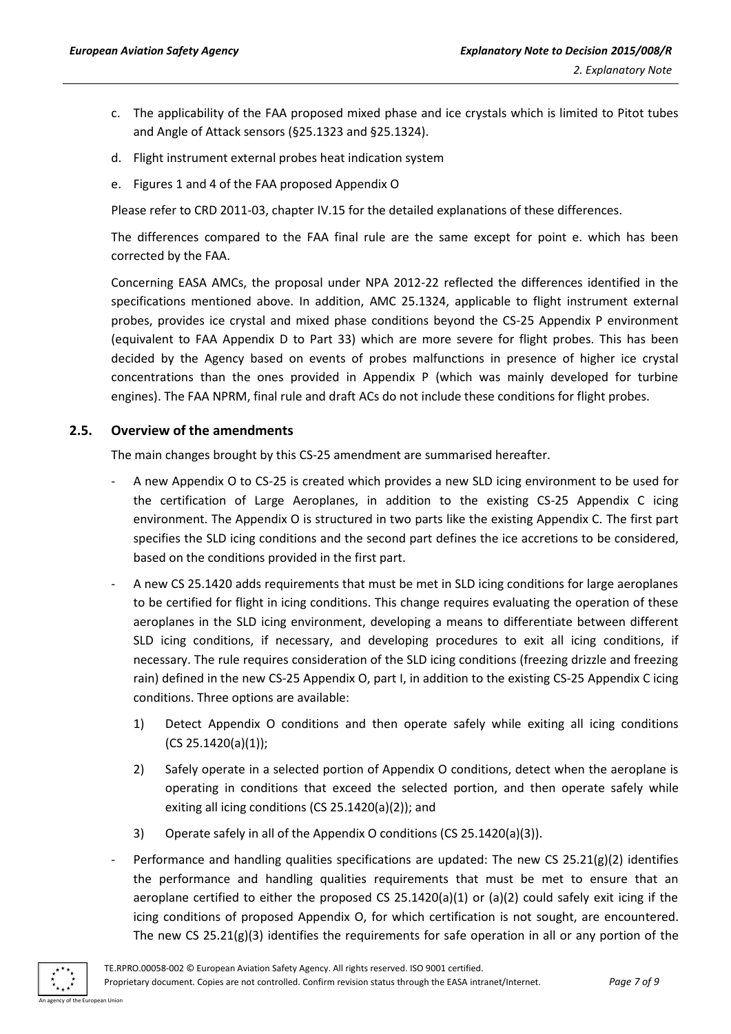- c. The applicability of the FAA proposed mixed phase and ice crystals which is limited to Pitot tubes and Angle of Attack sensors (§25.1323 and §25.1324).
- d. Flight instrument external probes heat indication system
- e. Figures 1 and 4 of the FAA proposed Appendix O

Please refer to CRD 2011-03, chapter IV.15 for the detailed explanations of these differences.

The differences compared to the FAA final rule are the same except for point e. which has been corrected by the FAA.

Concerning EASA AMCs, the proposal under NPA 2012-22 reflected the differences identified in the specifications mentioned above. In addition, AMC 25.1324, applicable to flight instrument external probes, provides ice crystal and mixed phase conditions beyond the CS-25 Appendix P environment (equivalent to FAA Appendix D to Part 33) which are more severe for flight probes. This has been decided by the Agency based on events of probes malfunctions in presence of higher ice crystal concentrations than the ones provided in Appendix P (which was mainly developed for turbine engines). The FAA NPRM, final rule and draft ACs do not include these conditions for flight probes.

## <span id="page-6-0"></span>**2.5. Overview of the amendments**

The main changes brought by this CS-25 amendment are summarised hereafter.

- A new Appendix O to CS-25 is created which provides a new SLD icing environment to be used for the certification of Large Aeroplanes, in addition to the existing CS-25 Appendix C icing environment. The Appendix O is structured in two parts like the existing Appendix C. The first part specifies the SLD icing conditions and the second part defines the ice accretions to be considered, based on the conditions provided in the first part.
- A new CS 25.1420 adds requirements that must be met in SLD icing conditions for large aeroplanes to be certified for flight in icing conditions. This change requires evaluating the operation of these aeroplanes in the SLD icing environment, developing a means to differentiate between different SLD icing conditions, if necessary, and developing procedures to exit all icing conditions, if necessary. The rule requires consideration of the SLD icing conditions (freezing drizzle and freezing rain) defined in the new CS-25 Appendix O, part I, in addition to the existing CS-25 Appendix C icing conditions. Three options are available:
	- 1) Detect Appendix O conditions and then operate safely while exiting all icing conditions  $(CS 25.1420(a)(1));$
	- 2) Safely operate in a selected portion of Appendix O conditions, detect when the aeroplane is operating in conditions that exceed the selected portion, and then operate safely while exiting all icing conditions (CS 25.1420(a)(2)); and
	- 3) Operate safely in all of the Appendix O conditions (CS 25.1420(a)(3)).
- Performance and handling qualities specifications are updated: The new CS  $25.21(g)(2)$  identifies the performance and handling qualities requirements that must be met to ensure that an aeroplane certified to either the proposed CS 25.1420(a)(1) or (a)(2) could safely exit icing if the icing conditions of proposed Appendix O, for which certification is not sought, are encountered. The new CS 25.21( $g$ )(3) identifies the requirements for safe operation in all or any portion of the

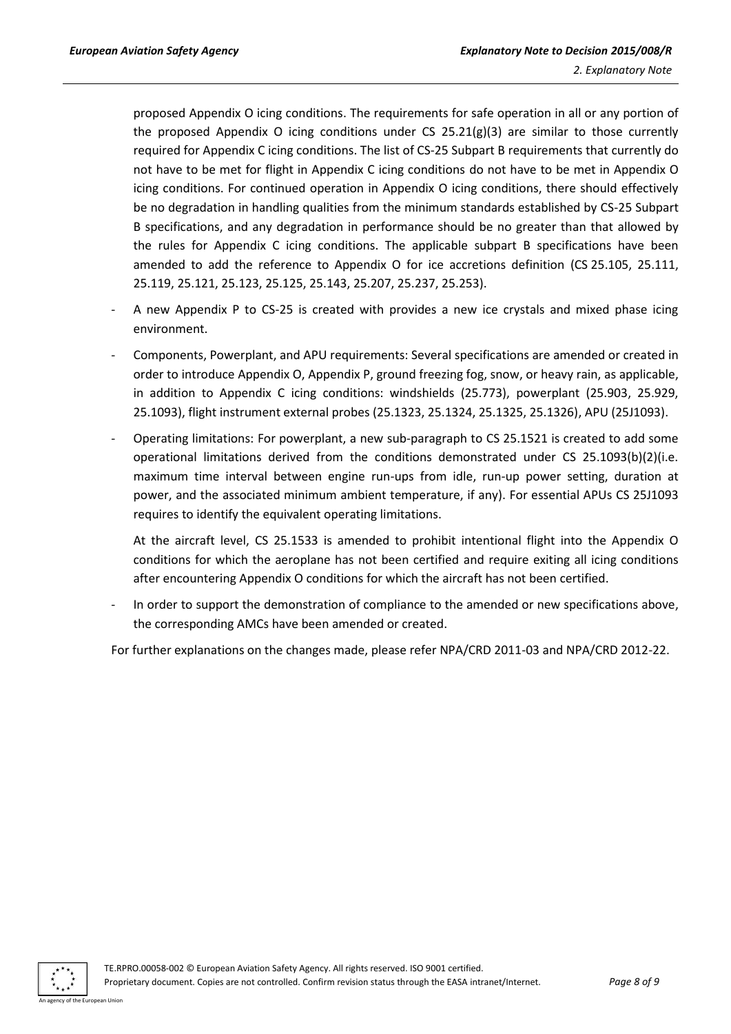proposed Appendix O icing conditions. The requirements for safe operation in all or any portion of the proposed Appendix O icing conditions under CS  $25.21(g)(3)$  are similar to those currently required for Appendix C icing conditions. The list of CS-25 Subpart B requirements that currently do not have to be met for flight in Appendix C icing conditions do not have to be met in Appendix O icing conditions. For continued operation in Appendix O icing conditions, there should effectively be no degradation in handling qualities from the minimum standards established by CS-25 Subpart B specifications, and any degradation in performance should be no greater than that allowed by the rules for Appendix C icing conditions. The applicable subpart B specifications have been amended to add the reference to Appendix O for ice accretions definition (CS 25.105, 25.111, 25.119, 25.121, 25.123, 25.125, 25.143, 25.207, 25.237, 25.253).

- A new Appendix P to CS-25 is created with provides a new ice crystals and mixed phase icing environment.
- Components, Powerplant, and APU requirements: Several specifications are amended or created in order to introduce Appendix O, Appendix P, ground freezing fog, snow, or heavy rain, as applicable, in addition to Appendix C icing conditions: windshields (25.773), powerplant (25.903, 25.929, 25.1093), flight instrument external probes (25.1323, 25.1324, 25.1325, 25.1326), APU (25J1093).
- Operating limitations: For powerplant, a new sub-paragraph to CS 25.1521 is created to add some operational limitations derived from the conditions demonstrated under CS 25.1093(b)(2)(i.e. maximum time interval between engine run-ups from idle, run-up power setting, duration at power, and the associated minimum ambient temperature, if any). For essential APUs CS 25J1093 requires to identify the equivalent operating limitations.

At the aircraft level, CS 25.1533 is amended to prohibit intentional flight into the Appendix O conditions for which the aeroplane has not been certified and require exiting all icing conditions after encountering Appendix O conditions for which the aircraft has not been certified.

In order to support the demonstration of compliance to the amended or new specifications above, the corresponding AMCs have been amended or created.

For further explanations on the changes made, please refer NPA/CRD 2011-03 and NPA/CRD 2012-22.